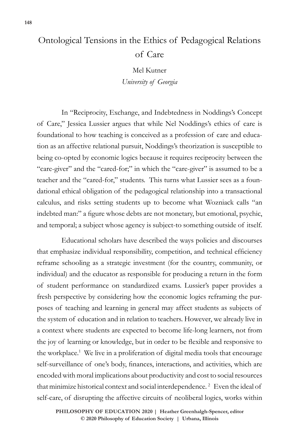## Ontological Tensions in the Ethics of Pedagogical Relations of Care

Mel Kutner *University of Georgia*

In "Reciprocity, Exchange, and Indebtedness in Noddings's Concept of Care," Jessica Lussier argues that while Nel Noddings's ethics of care is foundational to how teaching is conceived as a profession of care and education as an affective relational pursuit, Noddings's theorization is susceptible to being co-opted by economic logics because it requires reciprocity between the "care-giver" and the "cared-for;" in which the "care-giver" is assumed to be a teacher and the "cared-for," students. This turns what Lussier sees as a foundational ethical obligation of the pedagogical relationship into a transactional calculus, and risks setting students up to become what Wozniack calls "an indebted man:" a figure whose debts are not monetary, but emotional, psychic, and temporal; a subject whose agency is subject-to something outside of itself.

Educational scholars have described the ways policies and discourses that emphasize individual responsibility, competition, and technical efficiency reframe schooling as a strategic investment (for the country, community, or individual) and the educator as responsible for producing a return in the form of student performance on standardized exams. Lussier's paper provides a fresh perspective by considering how the economic logics reframing the purposes of teaching and learning in general may affect students as subjects of the system of education and in relation to teachers. However, we already live in a context where students are expected to become life-long learners, not from the joy of learning or knowledge, but in order to be flexible and responsive to the workplace.<sup>1</sup> We live in a proliferation of digital media tools that encourage self-surveillance of one's body, finances, interactions, and activities, which are encoded with moral implications about productivity and cost to social resources that minimize historical context and social interdependence.<sup>2</sup> Even the ideal of self-care, of disrupting the affective circuits of neoliberal logics, works within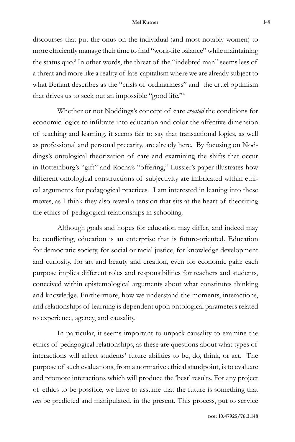## **Mel Kutner 149**

discourses that put the onus on the individual (and most notably women) to more efficiently manage their time to find "work-life balance" while maintaining the status quo.<sup>3</sup> In other words, the threat of the "indebted man" seems less of a threat and more like a reality of late-capitalism where we are already subject to what Berlant describes as the "crisis of ordinariness" and the cruel optimism that drives us to seek out an impossible "good life."4

Whether or not Noddings's concept of care *created* the conditions for economic logics to infiltrate into education and color the affective dimension of teaching and learning, it seems fair to say that transactional logics, as well as professional and personal precarity, are already here. By focusing on Noddings's ontological theorization of care and examining the shifts that occur in Rotteinburg's "gift" and Rocha's "offering," Lussier's paper illustrates how different ontological constructions of subjectivity are imbricated within ethical arguments for pedagogical practices. I am interested in leaning into these moves, as I think they also reveal a tension that sits at the heart of theorizing the ethics of pedagogical relationships in schooling.

Although goals and hopes for education may differ, and indeed may be conflicting, education is an enterprise that is future-oriented. Education for democratic society, for social or racial justice, for knowledge development and curiosity, for art and beauty and creation, even for economic gain: each purpose implies different roles and responsibilities for teachers and students, conceived within epistemological arguments about what constitutes thinking and knowledge. Furthermore, how we understand the moments, interactions, and relationships of learning is dependent upon ontological parameters related to experience, agency, and causality.

In particular, it seems important to unpack causality to examine the ethics of pedagogical relationships, as these are questions about what types of interactions will affect students' future abilities to be, do, think, or act. The purpose of such evaluations, from a normative ethical standpoint, is to evaluate and promote interactions which will produce the 'best' results. For any project of ethics to be possible, we have to assume that the future is something that *can* be predicted and manipulated, in the present. This process, put to service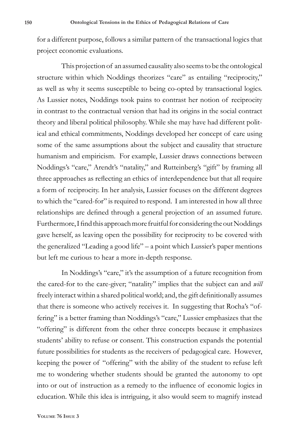for a different purpose, follows a similar pattern of the transactional logics that project economic evaluations.

This projection of an assumed causality also seems to be the ontological structure within which Noddings theorizes "care" as entailing "reciprocity," as well as why it seems susceptible to being co-opted by transactional logics. As Lussier notes, Noddings took pains to contrast her notion of reciprocity in contrast to the contractual version that had its origins in the social contract theory and liberal political philosophy. While she may have had different political and ethical commitments, Noddings developed her concept of care using some of the same assumptions about the subject and causality that structure humanism and empiricism. For example, Lussier draws connections between Noddings's "care," Arendt's "natality," and Rutteinberg's "gift" by framing all three approaches as reflecting an ethics of interdependence but that all require a form of reciprocity. In her analysis, Lussier focuses on the different degrees to which the "cared-for" is required to respond. I am interested in how all three relationships are defined through a general projection of an assumed future. Furthermore, I find this approach more fruitful for considering the out Noddings gave herself, as leaving open the possibility for reciprocity to be covered with the generalized "Leading a good life" – a point which Lussier's paper mentions but left me curious to hear a more in-depth response.

In Noddings's "care," it's the assumption of a future recognition from the cared-for to the care-giver; "natality" implies that the subject can and *will*  freely interact within a shared political world; and, the gift definitionally assumes that there is someone who actively receives it. In suggesting that Rocha's "offering" is a better framing than Noddings's "care," Lussier emphasizes that the "offering" is different from the other three concepts because it emphasizes students' ability to refuse or consent. This construction expands the potential future possibilities for students as the receivers of pedagogical care. However, keeping the power of "offering" with the ability of the student to refuse left me to wondering whether students should be granted the autonomy to opt into or out of instruction as a remedy to the influence of economic logics in education. While this idea is intriguing, it also would seem to magnify instead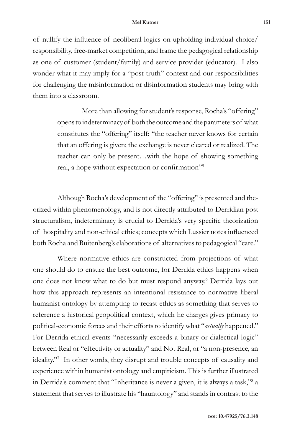of nullify the influence of neoliberal logics on upholding individual choice/ responsibility, free-market competition, and frame the pedagogical relationship as one of customer (student/family) and service provider (educator). I also wonder what it may imply for a "post-truth" context and our responsibilities for challenging the misinformation or disinformation students may bring with them into a classroom.

> More than allowing for student's response, Rocha's "offering" opens to indeterminacy of both the outcome and the parameters of what constitutes the "offering" itself: "the teacher never knows for certain that an offering is given; the exchange is never cleared or realized. The teacher can only be present…with the hope of showing something real, a hope without expectation or confirmation"<sup>5</sup>

Although Rocha's development of the "offering" is presented and theorized within phenomenology, and is not directly attributed to Derridian post structuralism, indeterminacy is crucial to Derrida's very specific theorization of hospitality and non-ethical ethics; concepts which Lussier notes influenced both Rocha and Ruitenberg's elaborations of alternatives to pedagogical "care."

Where normative ethics are constructed from projections of what one should do to ensure the best outcome, for Derrida ethics happens when one does not know what to do but must respond anyway.6 Derrida lays out how this approach represents an intentional resistance to normative liberal humanist ontology by attempting to recast ethics as something that serves to reference a historical geopolitical context, which he charges gives primacy to political-economic forces and their efforts to identify what "*actually* happened." For Derrida ethical events "necessarily exceeds a binary or dialectical logic" between Real or "effectivity or actuality" and Not Real, or "a non-presence, an ideality."7 In other words, they disrupt and trouble concepts of causality and experience within humanist ontology and empiricism. This is further illustrated in Derrida's comment that "Inheritance is never a given, it is always a task,"8 a statement that serves to illustrate his "hauntology" and stands in contrast to the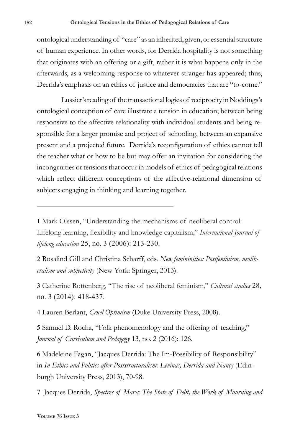ontological understanding of "care" as an inherited, given, or essential structure of human experience. In other words, for Derrida hospitality is not something that originates with an offering or a gift, rather it is what happens only in the afterwards, as a welcoming response to whatever stranger has appeared; thus, Derrida's emphasis on an ethics of justice and democracies that are "to-come."

Lussier's reading of the transactional logics of reciprocity in Noddings's ontological conception of care illustrate a tension in education; between being responsive to the affective relationality with individual students and being responsible for a larger promise and project of schooling, between an expansive present and a projected future. Derrida's reconfiguration of ethics cannot tell the teacher what or how to be but may offer an invitation for considering the incongruities or tensions that occur in models of ethics of pedagogical relations which reflect different conceptions of the affective-relational dimension of subjects engaging in thinking and learning together.

2 Rosalind Gill and Christina Scharff, eds. *New femininities: Postfeminism, neoliberalism and subjectivity* (New York: Springer, 2013).

3 Catherine Rottenberg, "The rise of neoliberal feminism," *Cultural studies* 28, no. 3 (2014): 418-437.

4 Lauren Berlant, *Cruel Optimism* (Duke University Press, 2008).

5 Samuel D. Rocha, "Folk phenomenology and the offering of teaching," *Journal of Curriculum and Pedagogy* 13, no. 2 (2016): 126.

6 Madeleine Fagan, "Jacques Derrida: The Im-Possibility of Responsibility" in *In Ethics and Politics after Poststructuralism: Levinas, Derrida and Nancy* (Edinburgh University Press, 2013), 70-98.

7 Jacques Derrida, *Spectres of Marx: The State of Debt, the Work of Mourning and* 

<sup>1</sup> Mark Olssen, "Understanding the mechanisms of neoliberal control: Lifelong learning, flexibility and knowledge capitalism," *International Journal of lifelong education* 25, no. 3 (2006): 213-230.